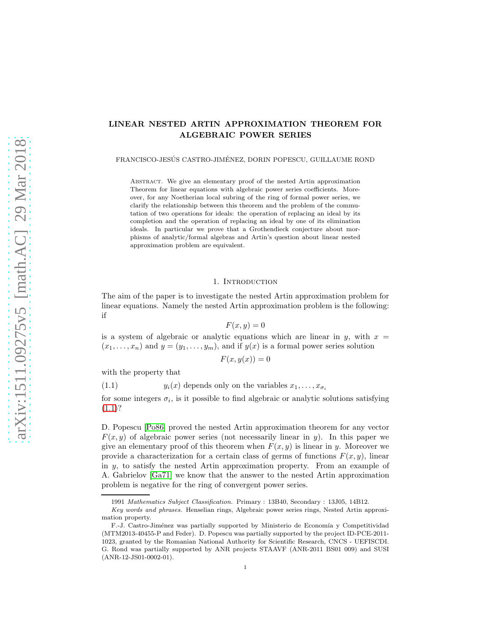# LINEAR NESTED ARTIN APPROXIMATION THEOREM FOR ALGEBRAIC POWER SERIES

FRANCISCO-JESÚS CASTRO-JIMÉNEZ, DORIN POPESCU, GUILLAUME ROND

Abstract. We give an elementary proof of the nested Artin approximation Theorem for linear equations with algebraic power series coefficients. Moreover, for any Noetherian local subring of the ring of formal power series, we clarify the relationship between this theorem and the problem of the commutation of two operations for ideals: the operation of replacing an ideal by its completion and the operation of replacing an ideal by one of its elimination ideals. In particular we prove that a Grothendieck conjecture about morphisms of analytic/formal algebras and Artin's question about linear nested approximation problem are equivalent.

# 1. INTRODUCTION

The aim of the paper is to investigate the nested Artin approximation problem for linear equations. Namely the nested Artin approximation problem is the following: if

$$
F(x,y) = 0
$$

is a system of algebraic or analytic equations which are linear in  $y$ , with  $x =$  $(x_1, \ldots, x_n)$  and  $y = (y_1, \ldots, y_m)$ , and if  $y(x)$  is a formal power series solution

$$
F(x, y(x)) = 0
$$

with the property that

<span id="page-0-0"></span>(1.1)  $y_i(x)$  depends only on the variables  $x_1, \ldots, x_{\sigma_i}$ 

for some integers  $\sigma_i$ , is it possible to find algebraic or analytic solutions satisfying  $(1.1)$ ?

D. Popescu [\[Po86\]](#page-15-0) proved the nested Artin approximation theorem for any vector  $F(x, y)$  of algebraic power series (not necessarily linear in y). In this paper we give an elementary proof of this theorem when  $F(x, y)$  is linear in y. Moreover we provide a characterization for a certain class of germs of functions  $F(x, y)$ , linear in y, to satisfy the nested Artin approximation property. From an example of A. Gabrielov [\[Ga71\]](#page-15-1) we know that the answer to the nested Artin approximation problem is negative for the ring of convergent power series.

<sup>1991</sup> *Mathematics Subject Classification.* Primary : 13B40, Secondary : 13J05, 14B12.

*Key words and phrases.* Henselian rings, Algebraic power series rings, Nested Artin approximation property.

F.-J. Castro-Jiménez was partially supported by Ministerio de Economía y Competitividad (MTM2013-40455-P and Feder). D. Popescu was partially supported by the project ID-PCE-2011- 1023, granted by the Romanian National Authority for Scientific Research, CNCS - UEFISCDI. G. Rond was partially supported by ANR projects STAAVF (ANR-2011 BS01 009) and SUSI (ANR-12-JS01-0002-01).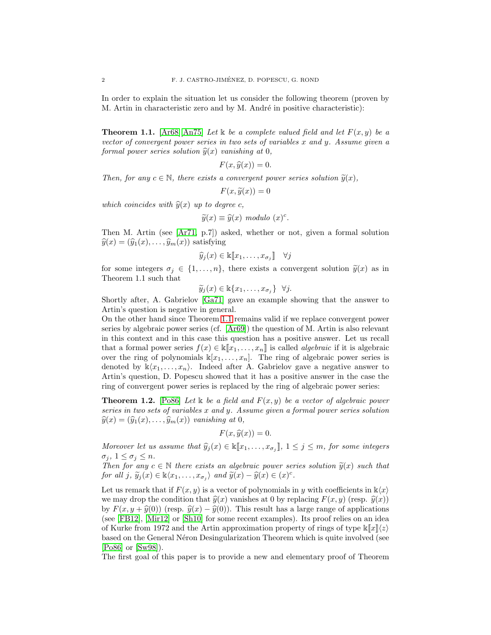In order to explain the situation let us consider the following theorem (proven by M. Artin in characteristic zero and by M. André in positive characteristic):

<span id="page-1-0"></span>**Theorem 1.1.** [\[Ar68\]](#page-15-2)[\[An75\]](#page-15-3) Let k be a complete valued field and let  $F(x, y)$  be a *vector of convergent power series in two sets of variables* x *and* y*. Assume given a formal power series solution*  $\hat{y}(x)$  *vanishing at* 0*,* 

$$
F(x,\widehat{y}(x))=0.
$$

*Then, for any*  $c \in \mathbb{N}$ *, there exists a convergent power series solution*  $\tilde{y}(x)$ *,* 

$$
F(x,\widetilde{y}(x))=0
$$

*which coincides with*  $\hat{y}(x)$  *up to degree c*,

$$
\widetilde{y}(x) \equiv \widehat{y}(x) \text{ modulo } (x)^c.
$$

Then M. Artin (see [\[Ar71,](#page-15-4) p.7]) asked, whether or not, given a formal solution  $\widehat{y}(x) = (\widehat{y}_1(x), \ldots, \widehat{y}_m(x))$  satisfying

$$
\widehat{y}_j(x) \in \mathbb{k}[\![x_1, \ldots, x_{\sigma_j}]\!]\quad \forall j
$$

for some integers  $\sigma_j \in \{1, \ldots, n\}$ , there exists a convergent solution  $\tilde{y}(x)$  as in Theorem 1.1 such that

 $\widetilde{y}_j(x) \in \mathbb{k}\{x_1,\ldots,x_{\sigma_j}\}$   $\forall j$ .

Shortly after, A. Gabrielov [\[Ga71\]](#page-15-1) gave an example showing that the answer to Artin's question is negative in general.

On the other hand since Theorem [1.1](#page-1-0) remains valid if we replace convergent power series by algebraic power series (cf. [\[Ar69\]](#page-15-5)) the question of M. Artin is also relevant in this context and in this case this question has a positive answer. Let us recall that a formal power series  $f(x) \in \mathbb{K}[\![x_1, \ldots, x_n]\!]$  is called *algebraic* if it is algebraic over the ring of polynomials  $\mathbb{K}[x_1, \ldots, x_n]$ . The ring of algebraic power series is denoted by  $\mathbb{k}\langle x_1, \ldots, x_n \rangle$ . Indeed after A. Gabrielov gave a negative answer to Artin's question, D. Popescu showed that it has a positive answer in the case the ring of convergent power series is replaced by the ring of algebraic power series:

<span id="page-1-1"></span>**Theorem 1.2.** [\[Po86\]](#page-15-0) Let  $\&$  be a field and  $F(x, y)$  be a vector of algebraic power *series in two sets of variables* x *and* y*. Assume given a formal power series solution*  $\widehat{y}(x) = (\widehat{y}_1(x), \ldots, \widehat{y}_m(x))$  *vanishing at* 0*,* 

$$
F(x,\hat{y}(x)) = 0.
$$

*Moreover let us assume that*  $\hat{y}_j(x) \in \mathbb{K}[x_1, \ldots, x_{\sigma_j}], 1 \leq j \leq m$ , for some integers  $\sigma_j, 1 \leq \sigma_j \leq n$ .

*Then for any*  $c \in \mathbb{N}$  *there exists an algebraic power series solution*  $\tilde{y}(x)$  *such that for all*  $j$ *,*  $\widetilde{y}_j(x) \in \mathbb{k} \langle x_1, \ldots, x_{\sigma_j} \rangle$  *and*  $\widetilde{y}(x) - \widehat{y}(x) \in (x)^c$ *.* 

Let us remark that if  $F(x, y)$  is a vector of polynomials in y with coefficients in  $\mathbb{k}\langle x \rangle$ we may drop the condition that  $\hat{y}(x)$  vanishes at 0 by replacing  $F(x, y)$  (resp.  $\hat{y}(x)$ ) by  $F(x, y + \hat{y}(0))$  (resp.  $\hat{y}(x) - \hat{y}(0)$ ). This result has a large range of applications (see [\[FB12\]](#page-15-6), [\[Mir12\]](#page-15-7) or [\[Sh10\]](#page-15-8) for some recent examples). Its proof relies on an idea of Kurke from 1972 and the Artin approximation property of rings of type  $\kappa |x| \langle z \rangle$ based on the General Néron Desingularization Theorem which is quite involved (see [\[Po86\]](#page-15-0) or [\[Sw98\]](#page-15-9)).

The first goal of this paper is to provide a new and elementary proof of Theorem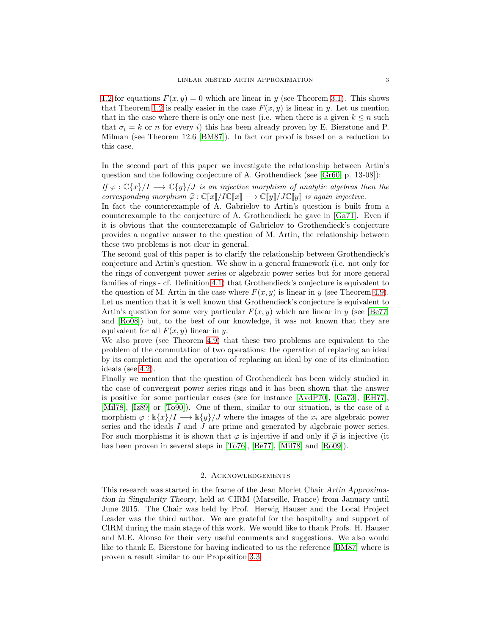[1.2](#page-1-1) for equations  $F(x, y) = 0$  which are linear in y (see Theorem [3.1\)](#page-3-0). This shows that Theorem [1.2](#page-1-1) is really easier in the case  $F(x, y)$  is linear in y. Let us mention that in the case where there is only one nest (i.e. when there is a given  $k \leq n$  such that  $\sigma_i = k$  or n for every i) this has been already proven by E. Bierstone and P. Milman (see Theorem 12.6 [\[BM87\]](#page-15-10)). In fact our proof is based on a reduction to this case.

In the second part of this paper we investigate the relationship between Artin's question and the following conjecture of A. Grothendieck (see [\[Gr60,](#page-15-11) p. 13-08]):

*If*  $\varphi$  :  $\mathbb{C}\{x\}/I \longrightarrow \mathbb{C}\{y\}/J$  *is an injective morphism of analytic algebras then the corresponding morphism*  $\hat{\varphi} : \mathbb{C}[\![x]\!]/I\mathbb{C}[\![x]\!] \longrightarrow \mathbb{C}[\![y]\!]/J\mathbb{C}[\![y]\!]$  *is again injective.* 

In fact the counterexample of A. Gabrielov to Artin's question is built from a counterexample to the conjecture of A. Grothendieck he gave in [\[Ga71\]](#page-15-1). Even if it is obvious that the counterexample of Gabrielov to Grothendieck's conjecture provides a negative answer to the question of M. Artin, the relationship between these two problems is not clear in general.

The second goal of this paper is to clarify the relationship between Grothendieck's conjecture and Artin's question. We show in a general framework (i.e. not only for the rings of convergent power series or algebraic power series but for more general families of rings - cf. Definition [4.1\)](#page-6-0) that Grothendieck's conjecture is equivalent to the question of M. Artin in the case where  $F(x, y)$  is linear in y (see Theorem [4.9\)](#page-8-0). Let us mention that it is well known that Grothendieck's conjecture is equivalent to Artin's question for some very particular  $F(x, y)$  which are linear in y (see [\[Be77\]](#page-15-12) and [\[Ro08\]](#page-15-13)) but, to the best of our knowledge, it was not known that they are equivalent for all  $F(x, y)$  linear in y.

We also prove (see Theorem [4.9\)](#page-8-0) that these two problems are equivalent to the problem of the commutation of two operations: the operation of replacing an ideal by its completion and the operation of replacing an ideal by one of its elimination ideals (see [4.2\)](#page-7-0).

Finally we mention that the question of Grothendieck has been widely studied in the case of convergent power series rings and it has been shown that the answer is positive for some particular cases (see for instance [\[AvdP70\]](#page-15-14), [\[Ga73\]](#page-15-15), [\[EH77\]](#page-15-16), [\[Mil78\]](#page-15-17), [\[Iz89\]](#page-15-18) or [\[To90\]](#page-15-19)). One of them, similar to our situation, is the case of a morphism  $\varphi : \Bbbk\{x\}/I \longrightarrow \Bbbk\{y\}/J$  where the images of the  $x_i$  are algebraic power series and the ideals  $I$  and  $J$  are prime and generated by algebraic power series. For such morphisms it is shown that  $\varphi$  is injective if and only if  $\hat{\varphi}$  is injective (it has been proven in several steps in [\[To76\]](#page-15-20), [\[Be77\]](#page-15-12), [\[Mil78\]](#page-15-17) and [\[Ro09\]](#page-15-21)).

### 2. Acknowledgements

This research was started in the frame of the Jean Morlet Chair Artin Approximation in Singularity Theory, held at CIRM (Marseille, France) from January until June 2015. The Chair was held by Prof. Herwig Hauser and the Local Project Leader was the third author. We are grateful for the hospitality and support of CIRM during the main stage of this work. We would like to thank Profs. H. Hauser and M.E. Alonso for their very useful comments and suggestions. We also would like to thank E. Bierstone for having indicated to us the reference [\[BM87\]](#page-15-10) where is proven a result similar to our Proposition [3.3.](#page-4-0)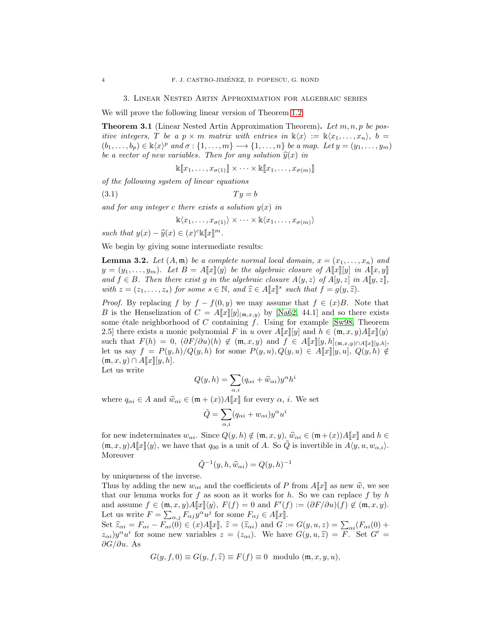#### 3. Linear Nested Artin Approximation for algebraic series

We will prove the following linear version of Theorem [1.2:](#page-1-1)

<span id="page-3-0"></span>Theorem 3.1 (Linear Nested Artin Approximation Theorem). *Let* m, n, p *be positive integers,* T *be a*  $p \times m$  *matrix with entries in*  $\mathbb{k}\langle x \rangle := \mathbb{k}\langle x_1, \ldots, x_n \rangle$ , b =  $(b_1, \ldots, b_p) \in \mathbb{k}\langle x \rangle^p$  and  $\sigma : \{1, \ldots, m\} \longrightarrow \{1, \ldots, n\}$  be a map. Let  $y = (y_1, \ldots, y_m)$ *be a vector of new variables. Then for any solution*  $\hat{y}(x)$  *in* 

$$
\mathbb{k}[\![x_1,\ldots,x_{\sigma(1)}]\!]\times\cdots\times\mathbb{k}[\![x_1,\ldots,x_{\sigma(m)}]\!]
$$

*of the following system of linear equations*

 $(Ty = b$ 

and for any integer c there exists a solution  $y(x)$  in

$$
\mathbb{k}\langle x_1,\ldots,x_{\sigma(1)}\rangle \times \cdots \times \mathbb{k}\langle x_1,\ldots,x_{\sigma(m)}\rangle
$$

*such that*  $y(x) - \hat{y}(x) \in (x)^c \mathbb{K}[[x]]^m$ .

We begin by giving some intermediate results:

<span id="page-3-1"></span>**Lemma 3.2.** Let  $(A, \mathfrak{m})$  be a complete normal local domain,  $x = (x_1, \ldots, x_n)$  and  $y = (y_1, \ldots, y_m)$ *. Let*  $B = A\llbracket x \rrbracket \langle y \rangle$  *be the algebraic closure of*  $A\llbracket x \rrbracket \llbracket y \rrbracket$  *in*  $A\llbracket x, y \rrbracket$ *and*  $f \in B$ *. Then there exist* g *in the algebraic closure*  $A\langle y, z \rangle$  of  $A[y, z]$  *in*  $A[y, z]$ *, with*  $z = (z_1, \ldots, z_s)$  *for some*  $s \in \mathbb{N}$ *, and*  $\hat{z} \in A[\![x]\!]^s$  *such that*  $f = g(y, \hat{z})$ *.* 

*Proof.* By replacing f by  $f - f(0, y)$  we may assume that  $f \in (x)B$ . Note that B is the Henselization of  $C = A[[x]][y]_{(\mathfrak{m},x,y)}$  by [\[Na62,](#page-15-22) 44.1] and so there exists some étale neighborhood of C containing  $\tilde{f}$ . Using for example [\[Sw98,](#page-15-9) Theorem 2.5] there exists a monic polynomial F in u over  $A\llbracket x \rrbracket[y]$  and  $h \in (\mathfrak{m}, x, y)A\llbracket x \rrbracket \langle y \rangle$ such that  $F(h) = 0$ ,  $(\partial F/\partial u)(h) \notin (\mathfrak{m}, x, y)$  and  $f \in A[\![x]\!][y, h]_{(\mathfrak{m}, x, y) \cap A[\![x]\!][y, h]}$ let us say  $f = P(y, h)/Q(y, h)$  for some  $P(y, u), Q(y, u) \in A[\![x]\!][y, u], Q(y, h) \notin$  $(\mathfrak{m}, x, y) \cap A[\![x]\!][y, h].$ 

Let us write

$$
Q(y, h) = \sum_{\alpha, i} (q_{\alpha i} + \widehat{w}_{\alpha i}) y^{\alpha} h^{i}
$$

where  $q_{\alpha i} \in A$  and  $\hat{w}_{\alpha i} \in (\mathfrak{m} + (x))A[\![x]\!]$  for every  $\alpha$ , *i*. We set

$$
\tilde{Q} = \sum_{\alpha,i} (q_{\alpha i} + w_{\alpha i}) y^{\alpha} u^i
$$

for new indeterminates  $w_{\alpha i}$ . Since  $Q(y, h) \notin (\mathfrak{m}, x, y), \hat{w}_{\alpha i} \in (\mathfrak{m} + (x))A[\![x]\!]$  and  $h \in$  $(\mathfrak{m}, x, y)A\llbracket x \rrbracket \langle y \rangle$ , we have that  $q_{00}$  is a unit of A. So  $\tilde{Q}$  is invertible in  $A\langle y, u, w_{\alpha,i} \rangle$ . Moreover

$$
\tilde{Q}^{-1}(y,h,\hat{w}_{\alpha i}) = Q(y,h)^{-1}
$$

by uniqueness of the inverse.

Thus by adding the new  $w_{\alpha i}$  and the coefficients of P from  $A[\![x]\!]$  as new  $\hat{w}$ , we see that our lemma works for f as soon as it works for h. So we can replace f by h and assume  $f \in (\mathfrak{m}, x, y)A[\![x]\!](y)$ ,  $F(f) = 0$  and  $F'(f) := (\partial F/\partial u)(f) \notin (\mathfrak{m}, x, y)$ . Let us write  $F = \sum_{\alpha,j} F_{\alpha j} y^{\alpha} u^j$  for some  $F_{\alpha j} \in A[[x]].$ 

Set  $\widehat{z}_{\alpha i} = F_{\alpha i} - F_{\alpha i}(0) \in (x)A[\![x]\!], \ \widehat{z} = (\widehat{z}_{\alpha i})$  and  $G := G(y, u, z) = \sum_{\alpha i} (F_{\alpha i}(0) +$  $(z_{\alpha i})y^{\alpha}u^{i}$  for some new variables  $z = (z_{\alpha i})$ . We have  $G(y, u, \hat{z}) = F$ . Set  $G' = \hat{S}(z_{\alpha i})$  $\partial G/\partial u$ . As

$$
G(y, f, 0) \equiv G(y, f, \hat{z}) \equiv F(f) \equiv 0 \text{ modulo } (\mathfrak{m}, x, y, u),
$$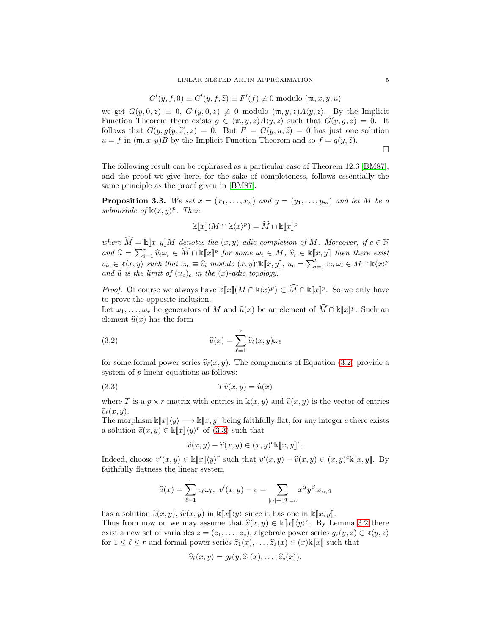$$
G'(y, f, 0) \equiv G'(y, f, \hat{z}) \equiv F'(f) \not\equiv 0 \text{ modulo } (\mathfrak{m}, x, y, u)
$$

we get  $G(y, 0, z) \equiv 0$ ,  $G'(y, 0, z) \not\equiv 0$  modulo  $(\mathfrak{m}, y, z)A(y, z)$ . By the Implicit Function Theorem there exists  $g \in (\mathfrak{m}, y, z)A\langle y, z \rangle$  such that  $G(y, g, z) = 0$ . It follows that  $G(y, g(y, \hat{z}), z) = 0$ . But  $F = G(y, u, \hat{z}) = 0$  has just one solution  $u = f$  in  $(\mathfrak{m}, x, y)B$  by the Implicit Function Theorem and so  $f = g(y, \hat{z})$ .

 $\Box$ 

The following result can be rephrased as a particular case of Theorem 12.6 [\[BM87\]](#page-15-10), and the proof we give here, for the sake of completeness, follows essentially the same principle as the proof given in [\[BM87\]](#page-15-10).

<span id="page-4-0"></span>**Proposition 3.3.** We set  $x = (x_1, \ldots, x_n)$  and  $y = (y_1, \ldots, y_m)$  and let M be a submodule of  $\mathbb{k}\langle x,y\rangle^p$ . Then

$$
\Bbbk[\![x]\!](M \cap \Bbbk\langle x \rangle^p) = \widehat{M} \cap \Bbbk[\![x]\!]^p
$$

*where*  $\widehat{M} = \mathbb{K}[\![x, y]\!]M$  *denotes the*  $(x, y)$ *-adic completion of* M*. Moreover, if*  $c \in \mathbb{N}$  $and \hat{u} = \sum_{i=1}^{r} \hat{v}_i \omega_i \in \widehat{M} \cap \mathbb{K}[\![x]\!]^p$  for some  $\omega_i \in M$ ,  $\hat{v}_i \in \mathbb{K}[\![x, y]\!]$  then there exist  $v_{ic} \in \mathbb{k}\langle x, y \rangle$  such that  $v_{ic} \equiv \widehat{v}_i \mod{u}$   $(x, y)^c \mathbb{k}[x, y]$ ,  $u_c = \sum_{i=1}^t v_{ic} \omega_i \in M \cap \mathbb{k}\langle x \rangle^p$ and  $\hat{u}$  *is the limit of*  $(u_c)_c$  *in the*  $(x)$ *-adic topology.* 

*Proof.* Of course we always have  $\kappa[[x]](M \cap \kappa\langle x \rangle^p) \subset \widehat{M} \cap \kappa[[x]]^p$ . So we only have to prove the opposite inclusion.

Let  $\omega_1, \ldots, \omega_r$  be generators of M and  $\widehat{u}(x)$  be an element of  $\widehat{M} \cap \Bbbk[\![x]\!]^p$ . Such an element  $\hat{u}(x)$  has the form

(3.2) 
$$
\widehat{u}(x) = \sum_{\ell=1}^r \widehat{v}_\ell(x, y) \omega_\ell
$$

for some formal power series  $\hat{v}_{\ell}(x, y)$ . The components of Equation [\(3.2\)](#page-4-1) provide a system of p linear equations as follows:

$$
(3.3) \t\t T\hat{v}(x,y) = \hat{u}(x)
$$

where T is a  $p \times r$  matrix with entries in  $\mathbb{k}\langle x, y \rangle$  and  $\widehat{v}(x, y)$  is the vector of entries  $\widehat{v}_{\ell}(x, y)$ .

The morphism  $\Bbbk[\![x]\!](y) \longrightarrow \Bbbk[\![x, y]\!]$  being faithfully flat, for any integer c there exists a solution  $\tilde{v}(x, y) \in \mathbb{k}[\![x]\!](y)$ <sup>r</sup> of [\(3.3\)](#page-4-2) such that

<span id="page-4-2"></span><span id="page-4-1"></span>
$$
\widetilde{v}(x,y) - \widehat{v}(x,y) \in (x,y)^c \mathbb{k}[\![x,y]\!]^r.
$$

Indeed, choose  $v'(x, y) \in \mathbb{K}[\![x]\!](y)^r$  such that  $v'(x, y) - \widehat{v}(x, y) \in (x, y)^c \mathbb{K}[\![x, y]\!]$ . By faithfully flatness the linear system

$$
\widehat{u}(x) = \sum_{\ell=1}^r v_\ell \omega_\ell, \ v'(x, y) - v = \sum_{|\alpha|+|\beta|=c} x^\alpha y^\beta w_{\alpha,\beta}
$$

has a solution  $\tilde{v}(x, y)$ ,  $\tilde{w}(x, y)$  in  $\kappa[x\psi]$  since it has one in  $\kappa[x, y]$ . Thus from now on we may assume that  $\hat{v}(x, y) \in \kappa[x](y)^r$ . By Lemma [3.2](#page-3-1) there exist a new set of variables  $z = (z_1, \ldots, z_s)$ , algebraic power series  $g_\ell(y, z) \in \mathbb{k} \langle y, z \rangle$ for  $1 \leq \ell \leq r$  and formal power series  $\widehat{z}_1(x), \ldots, \widehat{z}_s(x) \in (x)$ k $\llbracket x \rrbracket$  such that

$$
\widehat{v}_{\ell}(x,y)=g_{\ell}(y,\widehat{z}_1(x),\ldots,\widehat{z}_s(x)).
$$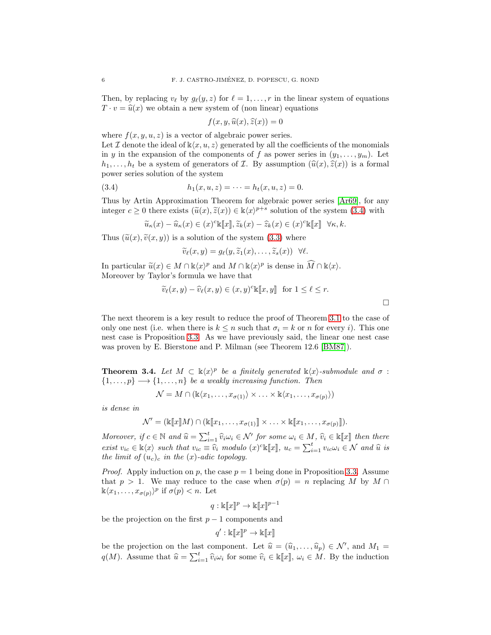Then, by replacing  $v_{\ell}$  by  $g_{\ell}(y, z)$  for  $\ell = 1, \ldots, r$  in the linear system of equations  $T \cdot v = \hat{u}(x)$  we obtain a new system of (non linear) equations

$$
f(x, y, \widehat{u}(x), \widehat{z}(x)) = 0
$$

where  $f(x, y, u, z)$  is a vector of algebraic power series.

Let  $\mathcal I$  denote the ideal of  $\mathbb k\langle x, u, z\rangle$  generated by all the coefficients of the monomials in y in the expansion of the components of f as power series in  $(y_1, \ldots, y_m)$ . Let  $h_1, \ldots, h_t$  be a system of generators of  $\mathcal I$ . By assumption  $(\widehat{u}(x), \widehat{z}(x))$  is a formal power series solution of the system

(3.4) 
$$
h_1(x, u, z) = \cdots = h_t(x, u, z) = 0.
$$

Thus by Artin Approximation Theorem for algebraic power series [\[Ar69\]](#page-15-5), for any integer  $c \ge 0$  there exists  $(\tilde{u}(x), \tilde{z}(x)) \in \mathbb{k}\langle x \rangle^{p+s}$  solution of the system [\(3.4\)](#page-5-0) with

<span id="page-5-0"></span>
$$
\widetilde{u}_{\kappa}(x) - \widehat{u}_{\kappa}(x) \in (x)^{c} \mathbb{K}[\![x]\!], \widetilde{z}_{k}(x) - \widehat{z}_{k}(x) \in (x)^{c} \mathbb{K}[\![x]\!] \quad \forall \kappa, k.
$$

Thus  $(\tilde{u}(x), \tilde{v}(x, y))$  is a solution of the system [\(3.3\)](#page-4-2) where

$$
\widetilde{v}_{\ell}(x,y)=g_{\ell}(y,\widetilde{z}_1(x),\ldots,\widetilde{z}_s(x))\ \ \forall \ell.
$$

In particular  $\widetilde{u}(x) \in M \cap \mathbb{k}\langle x \rangle^p$  and  $M \cap \mathbb{k}\langle x \rangle^p$  is dense in  $\widehat{M} \cap \mathbb{k}\langle x \rangle$ . Moreover by Taylor's formula we have that

$$
\widetilde{v}_{\ell}(x, y) - \widehat{v}_{\ell}(x, y) \in (x, y)^{c} \mathbb{K}[\![x, y]\!]
$$
 for  $1 \le \ell \le r$ .

 $\Box$ 

The next theorem is a key result to reduce the proof of Theorem [3.1](#page-3-0) to the case of only one nest (i.e. when there is  $k \leq n$  such that  $\sigma_i = k$  or n for every i). This one nest case is Proposition [3.3.](#page-4-0) As we have previously said, the linear one nest case was proven by E. Bierstone and P. Milman (see Theorem 12.6 [\[BM87\]](#page-15-10)).

<span id="page-5-1"></span>**Theorem 3.4.** Let  $M \subset \mathbb{K}\langle x \rangle^p$  be a finitely generated  $\mathbb{K}\langle x \rangle$ -submodule and  $\sigma$ :  $\{1, \ldots, p\} \longrightarrow \{1, \ldots, n\}$  *be a weakly increasing function. Then* 

$$
\mathcal{N} = M \cap (\mathbb{K}\langle x_1,\ldots,x_{\sigma(1)}\rangle \times \ldots \times \mathbb{K}\langle x_1,\ldots,x_{\sigma(p)}\rangle)
$$

*is dense in*

 $\mathcal{N}' = (\& \llbracket x \rrbracket M) \cap (\& \llbracket x_1, \ldots, x_{\sigma(1)} \rrbracket \times \ldots \times \& \llbracket x_1, \ldots, x_{\sigma(p)} \rrbracket).$ 

*Moreover, if*  $c \in \mathbb{N}$  and  $\widehat{u} = \sum_{i=1}^t \widehat{v}_i \omega_i \in \mathcal{N}'$  for some  $\omega_i \in M$ ,  $\widehat{v}_i \in \mathbb{k}[\![x]\!]$  then there  $\widetilde{v}_i = \widetilde{v}_i$  *such that*  $v_i \equiv \widehat{v}_i$  *modulo*  $(x)^c \mathbb{K}[\![x]\!], u_c = \sum_{i=1}^t v_i c_i \omega_i \in \mathcal{N}$  and  $\widehat{u}$  is *the limit of*  $(u_c)_c$  *in the*  $(x)$ *-adic topology.* 

*Proof.* Apply induction on p, the case  $p = 1$  being done in Proposition [3.3.](#page-4-0) Assume that  $p > 1$ . We may reduce to the case when  $\sigma(p) = n$  replacing M by M  $\cap$  $\Bbbk\langle x_1,\ldots,x_{\sigma(p)}\rangle^p$  if  $\sigma(p) < n$ . Let

$$
q:\Bbbk[\![x]\!]^p\rightarrow \Bbbk[\![x]\!]^{p-1}
$$

be the projection on the first  $p-1$  components and

$$
q':\Bbbk[\![x]\!]^p\to\Bbbk[\![x]\!]
$$

be the projection on the last component. Let  $\hat{u} = (\hat{u}_1, \dots, \hat{u}_p) \in \mathcal{N}'$ , and  $M_1 =$  $q(M)$ . Assume that  $\hat{u} = \sum_{i=1}^{t} \hat{v}_i \omega_i$  for some  $\hat{v}_i \in \mathbb{K}[\![x]\!], \ \omega_i \in M$ . By the induction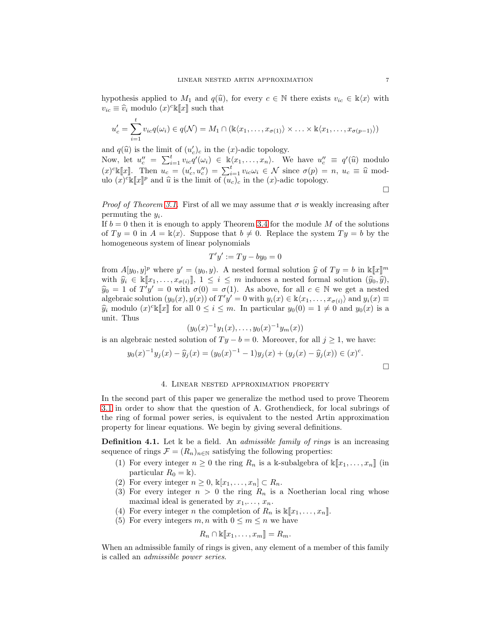hypothesis applied to  $M_1$  and  $q(\hat{u})$ , for every  $c \in \mathbb{N}$  there exists  $v_{ic} \in \mathbb{k}\langle x \rangle$  with  $v_{ic} \equiv \hat{v}_i \text{ modulo } (x)^c \mathbb{K}[\![x]\!]$  such that

$$
u'_{c} = \sum_{i=1}^{t} v_{ic} q(\omega_{i}) \in q(\mathcal{N}) = M_{1} \cap (\mathbb{K}\langle x_{1}, \ldots, x_{\sigma(1)} \rangle \times \ldots \times \mathbb{K}\langle x_{1}, \ldots, x_{\sigma(p-1)} \rangle)
$$

and  $q(\widehat{u})$  is the limit of  $(u'_c)_c$  in the  $(x)$ -adic topology.

Now, let  $u''_c = \sum_{i=1}^t v_{ic} q'(\omega_i) \in \mathbb{R} \langle x_1, \ldots, x_n \rangle$ . We have  $u''_c \equiv q'(\widehat{u})$  modulo  $(x)^c \llbracket x \rrbracket$ . Then  $u_c = (u'_c, u''_c) = \sum_{i=1}^t v_{ic} \omega_i \in \mathcal{N}$  since  $\sigma(p) = n$ ,  $u_c \equiv \hat{u}$  modulo  $(x)^c \mathbb{K}[x]^p$  and  $\widehat{u}$  is the limit of  $\widehat{(u_c)_c}$  in the  $(x)$ -adic topology.

 $\Box$ 

*Proof of Theorem [3.1.](#page-3-0)* First of all we may assume that  $\sigma$  is weakly increasing after permuting the  $y_i$ .

If  $b = 0$  then it is enough to apply Theorem [3.4](#page-5-1) for the module M of the solutions of  $Ty = 0$  in  $A = \mathbb{k}\langle x \rangle$ . Suppose that  $b \neq 0$ . Replace the system  $Ty = b$  by the homogeneous system of linear polynomials

$$
T'y' := Ty - by_0 = 0
$$

from  $A[y_0, y]^p$  where  $y' = (y_0, y)$ . A nested formal solution  $\hat{y}$  of  $Ty = b$  in  $\mathbb{K}[[x]]^m$ with  $\hat{y}_i \in \mathbb{K}[x_1,\ldots,x_{\sigma(i)}], 1 \leq i \leq m$  induces a nested formal solution  $(\hat{y}_0, \hat{y})$ ,  $\hat{y}_0 = 1$  of  $T'y' = 0$  with  $\sigma(0) = \sigma(1)$ . As above, for all  $c \in \mathbb{N}$  we get a nested algebraic solution  $(y_0(x), y(x))$  of  $T'y' = 0$  with  $y_i(x) \in \mathbb{k}\langle x_1, \ldots, x_{\sigma(i)}\rangle$  and  $y_i(x) \equiv$  $\hat{y}_i$  modulo  $(x)^{c}$  [*x*] for all  $0 \leq i \leq m$ . In particular  $y_0(0) = 1 \neq 0$  and  $y_0(x)$  is a unit. Thus

$$
(y_0(x)^{-1}y_1(x),\ldots,y_0(x)^{-1}y_m(x))
$$

is an algebraic nested solution of  $Ty - b = 0$ . Moreover, for all  $j \ge 1$ , we have:

$$
y_0(x)^{-1}y_j(x) - \widehat{y}_j(x) = (y_0(x)^{-1} - 1)y_j(x) + (y_j(x) - \widehat{y}_j(x)) \in (x)^c.
$$

### 4. Linear nested approximation property

In the second part of this paper we generalize the method used to prove Theorem [3.1](#page-3-0) in order to show that the question of A. Grothendieck, for local subrings of the ring of formal power series, is equivalent to the nested Artin approximation property for linear equations. We begin by giving several definitions.

<span id="page-6-0"></span>**Definition 4.1.** Let k be a field. An *admissible family of rings* is an increasing sequence of rings  $\mathcal{F} = (R_n)_{n \in \mathbb{N}}$  satisfying the following properties:

- (1) For every integer  $n \geq 0$  the ring  $R_n$  is a k-subalgebra of  $\kappa[x_1, \ldots, x_n]$  (in particular  $R_0 = \mathbb{k}$ .
- (2) For every integer  $n \geq 0$ ,  $\mathbb{K}[x_1, \ldots, x_n] \subset R_n$ .
- (3) For every integer  $n > 0$  the ring  $R_n$  is a Noetherian local ring whose maximal ideal is generated by  $x_1, \ldots, x_n$ .
- (4) For every integer *n* the completion of  $R_n$  is  $\mathbb{K}[x_1, \ldots, x_n]$ .
- (5) For every integers  $m, n$  with  $0 \leq m \leq n$  we have

$$
R_n \cap \mathbb{K}[\![x_1,\ldots,x_m]\!]=R_m.
$$

When an admissible family of rings is given, any element of a member of this family is called an *admissible power series*.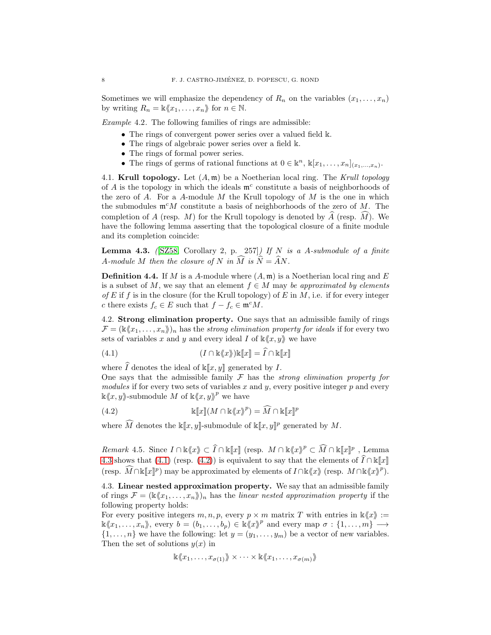Sometimes we will emphasize the dependency of  $R_n$  on the variables  $(x_1, \ldots, x_n)$ by writing  $R_n = \mathbb{k} \langle x_1, \ldots, x_n \rangle$  for  $n \in \mathbb{N}$ .

*Example* 4.2*.* The following families of rings are admissible:

- The rings of convergent power series over a valued field k.
- The rings of algebraic power series over a field k.
- The rings of formal power series.
- The rings of germs of rational functions at  $0 \in \mathbb{k}^n$ ,  $\mathbb{k}[x_1, \ldots, x_n]_{(x_1, \ldots, x_n)}$ .

4.1. Krull topology. Let (A, m) be a Noetherian local ring. The *Krull topology* of  $A$  is the topology in which the ideals  $\mathfrak{m}^c$  constitute a basis of neighborhoods of the zero of  $A$ . For a  $A$ -module  $M$  the Krull topology of  $M$  is the one in which the submodules  $\mathfrak{m}^c M$  constitute a basis of neighborhoods of the zero of M. The completion of A (resp. M) for the Krull topology is denoted by  $\hat{A}$  (resp.  $\hat{M}$ ). We have the following lemma asserting that the topological closure of a finite module and its completion coincide:

<span id="page-7-1"></span>Lemma 4.3. *(*[\[SZ58,](#page-15-23) Corollary 2, p. 257]*) If* N *is a* A*-submodule of a finite* A-module M then the closure of N in  $\widehat{M}$  is  $\hat{\widehat{N}} = \widehat{A}N$ .

**Definition 4.4.** If M is a A-module where  $(A, \mathfrak{m})$  is a Noetherian local ring and E is a subset of M, we say that an element  $f \in M$  may be approximated by elements *of*  $E$  if  $f$  is in the closure (for the Krull topology) of  $E$  in  $M$ , i.e. if for every integer c there exists  $f_c \in E$  such that  $f - f_c \in \mathfrak{m}^c M$ .

<span id="page-7-0"></span>4.2. Strong elimination property. One says that an admissible family of rings  $\mathcal{F} = (\mathbb{K} \langle x_1, \ldots, x_n \rangle)_n$  has the *strong elimination property for ideals* if for every two sets of variables x and y and every ideal I of  $\kappa \langle x, y \rangle$  we have

<span id="page-7-2"></span>(4.1) 
$$
(I \cap \mathbb{k}\langle x\rangle) \mathbb{k}[\![x]\!] = \widehat{I} \cap \mathbb{k}[\![x]\!]
$$

where  $\widehat{I}$  denotes the ideal of  $\kappa[x, y]$  generated by I.

One says that the admissible family F has the *strong elimination property for modules* if for every two sets of variables  $x$  and  $y$ , every positive integer  $p$  and every  $\&\langle x, y \rangle$ -submodule M of  $\&\langle x, y \rangle^p$  we have

<span id="page-7-3"></span>(4.2) 
$$
\mathbb{k}[\![x]\!](M \cap \mathbb{k}\langle x \rangle^p) = \widehat{M} \cap \mathbb{k}[\![x]\!]^p
$$

where  $\widehat{M}$  denotes the  $\Bbbk[\![x,y]\!]$ -submodule of  $\Bbbk[\![x,y]\!]^p$  generated by  $M$ .

*Remark* 4.5. Since  $I \cap \mathbb{k}\langle x \rangle \subset \hat{I} \cap \mathbb{k}[\![x]\!]$  (resp.  $M \cap \mathbb{k}\langle x \rangle \rangle^p \subset \widehat{M} \cap \mathbb{k}[\![x]\!]^p$ , Lemma [4.3](#page-7-1) shows that [\(4.1\)](#page-7-2) (resp. [\(4.2\)](#page-7-3)) is equivalent to say that the elements of  $\widehat{I}\cap \Bbbk[[x]]$ (resp.  $\widehat{M} \cap \Bbbk[\![x]\!]^p$ ) may be approximated by elements of  $I \cap \Bbbk\langle x \rangle$  (resp.  $M \cap \Bbbk\langle x \rangle^p$ ).

4.3. Linear nested approximation property. We say that an admissible family of rings  $\mathcal{F} = (\&\langle x_1, \ldots, x_n \rangle)_n$  has the *linear nested approximation property* if the following property holds:

For every positive integers  $m, n, p$ , every  $p \times m$  matrix T with entries in  $\mathbb{k}\langle x \rangle :=$  $\Bbbk\langle x_1,\ldots,x_n\rangle\!\rangle,$  every  $b=(b_1,\ldots,b_p)\in \Bbbk\langle\!\langle x\rangle\!\rangle^p$  and every map  $\sigma:\{1,\ldots,m\}\rangle^{\sim} \rightarrow$  $\{1,\ldots,n\}$  we have the following: let  $y=(y_1,\ldots,y_m)$  be a vector of new variables. Then the set of solutions  $y(x)$  in

$$
\mathbb{k}\langle x_1,\ldots,x_{\sigma(1)}\rangle\!\!\rangle \times \cdots \times \mathbb{k}\langle x_1,\ldots,x_{\sigma(m)}\rangle\!\!\rangle
$$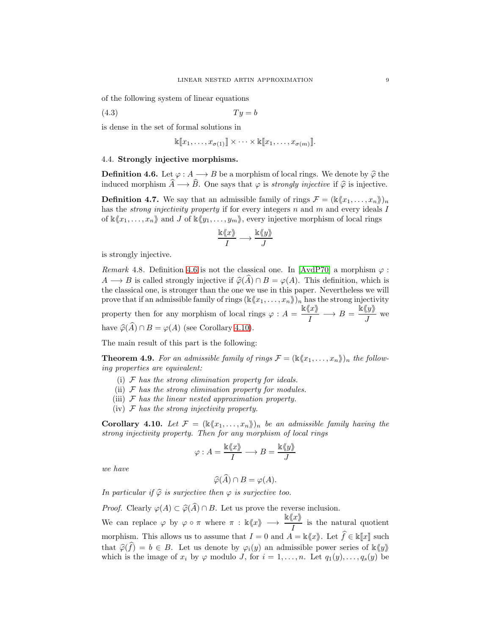of the following system of linear equations

$$
(4.3) \t\t Ty = b
$$

is dense in the set of formal solutions in

<span id="page-8-3"></span>
$$
\mathbb{k}[[x_1,\ldots,x_{\sigma(1)}]] \times \cdots \times \mathbb{k}[[x_1,\ldots,x_{\sigma(m)}]].
$$

# 4.4. Strongly injective morphisms.

<span id="page-8-1"></span>**Definition 4.6.** Let  $\varphi : A \longrightarrow B$  be a morphism of local rings. We denote by  $\widehat{\varphi}$  the induced morphism  $\widehat{A} \longrightarrow \widehat{B}$ . One says that  $\varphi$  is *strongly injective* if  $\widehat{\varphi}$  is injective.

**Definition 4.7.** We say that an admissible family of rings  $\mathcal{F} = (\mathbb{k}\langle x_1, \ldots, x_n \rangle)_n$ has the *strong injectivity property* if for every integers n and m and every ideals I of  $\kappa\langle x_1, \ldots, x_n\rangle$  and J of  $\kappa\langle y_1, \ldots, y_m\rangle$ , every injective morphism of local rings

$$
\frac{\Bbbk\langle\!\langle x\rangle\!\rangle}{I}\longrightarrow \frac{\Bbbk\langle\!\langle y\rangle\!\rangle}{J}
$$

is strongly injective.

*Remark* 4.8. Definition [4.6](#page-8-1) is not the classical one. In [\[AvdP70\]](#page-15-14) a morphism  $\varphi$ :  $A \longrightarrow B$  is called strongly injective if  $\hat{\varphi}(A) \cap B = \varphi(A)$ . This definition, which is the classical one, is stronger than the one we use in this paper. Nevertheless we will prove that if an admissible family of rings  $(\mathbb{K}\langle x_1, \ldots, x_n \rangle)_n$  has the strong injectivity property then for any morphism of local rings  $\varphi : A = \frac{\mathbb{k}\langle x \rangle}{L}$  $\frac{\langle x \rangle}{I} \longrightarrow B = \frac{\dot{\mathbb{R}} \langle y \rangle}{J}$  $\frac{N}{J}$  we have  $\widehat{\varphi}(\widehat{A}) \cap B = \varphi(A)$  (see Corollary [4.10\)](#page-8-2).

The main result of this part is the following:

<span id="page-8-0"></span>**Theorem 4.9.** For an admissible family of rings  $\mathcal{F} = (\mathbb{k} \langle x_1, \ldots, x_n \rangle)_n$  the follow*ing properties are equivalent:*

- (i) F *has the strong elimination property for ideals.*
- (ii) F *has the strong elimination property for modules.*
- (iii) F *has the linear nested approximation property.*
- (iv) F *has the strong injectivity property.*

<span id="page-8-2"></span>**Corollary 4.10.** Let  $\mathcal{F} = (\&x_1, \ldots, x_n)\|_n$  be an admissible family having the *strong injectivity property. Then for any morphism of local rings*

$$
\varphi: A = \frac{\Bbbk\langle\!\langle x \rangle\!\rangle}{I} \longrightarrow B = \frac{\Bbbk\langle\!\langle y \rangle\!\rangle}{J}
$$

*we have*

$$
\widehat{\varphi}(\widehat{A}) \cap B = \varphi(A).
$$

*In particular if*  $\widehat{\varphi}$  *is surjective then*  $\varphi$  *is surjective too.* 

*Proof.* Clearly  $\varphi(A) \subset \widehat{\varphi}(\widehat{A}) \cap B$ . Let us prove the reverse inclusion. We can replace  $\varphi$  by  $\varphi \circ \pi$  where  $\pi : \mathbb{k}\langle x \rangle \longrightarrow \frac{\mathbb{k}\langle x \rangle}{I}$  is the natural quotient morphism. This allows us to assume that  $I = 0$  and  $A = \mathbb{k}\langle x \rangle$ . Let  $\widehat{f} \in \mathbb{k}[[x]]$  such that  $\widehat{\varphi}(\widehat{f}) = b \in B$ . Let us denote by  $\varphi_i(y)$  an admissible power series of  $\Bbbk\langle y \rangle$ which is the image of  $x_i$  by  $\varphi$  modulo J, for  $i = 1, ..., n$ . Let  $q_1(y), ..., q_s(y)$  be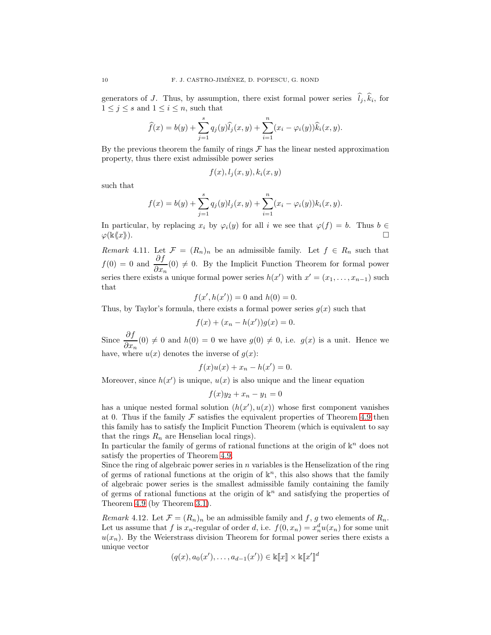generators of J. Thus, by assumption, there exist formal power series  $l_j, k_i$ , for  $1 \leq j \leq s$  and  $1 \leq i \leq n$ , such that

$$
\widehat{f}(x) = b(y) + \sum_{j=1}^{s} q_j(y) \widehat{l}_j(x, y) + \sum_{i=1}^{n} (x_i - \varphi_i(y)) \widehat{k}_i(x, y).
$$

By the previous theorem the family of rings  $\mathcal F$  has the linear nested approximation property, thus there exist admissible power series

$$
f(x), l_j(x, y), k_i(x, y)
$$

such that

$$
f(x) = b(y) + \sum_{j=1}^{s} q_j(y)l_j(x, y) + \sum_{i=1}^{n} (x_i - \varphi_i(y))k_i(x, y).
$$

In particular, by replacing  $x_i$  by  $\varphi_i(y)$  for all i we see that  $\varphi(f) = b$ . Thus  $b \in$  $\varphi(\mathbb{k}\langle x\rangle).$ 

*Remark* 4.11. Let  $\mathcal{F} = (R_n)_n$  be an admissible family. Let  $f \in R_n$  such that  $f(0) = 0$  and  $\frac{\partial f}{\partial x_n}(0) \neq 0$ . By the Implicit Function Theorem for formal power series there exists a unique formal power series  $h(x')$  with  $x' = (x_1, \ldots, x_{n-1})$  such that

$$
f(x',h(x')) = 0
$$
 and  $h(0) = 0$ .

Thus, by Taylor's formula, there exists a formal power series  $g(x)$  such that

$$
f(x) + (x_n - h(x'))g(x) = 0.
$$

Since  $\frac{\partial f}{\partial x_n}(0) \neq 0$  and  $h(0) = 0$  we have  $g(0) \neq 0$ , i.e.  $g(x)$  is a unit. Hence we have, where  $u(x)$  denotes the inverse of  $q(x)$ :

$$
f(x)u(x) + x_n - h(x') = 0.
$$

Moreover, since  $h(x')$  is unique,  $u(x)$  is also unique and the linear equation

$$
f(x)y_2 + x_n - y_1 = 0
$$

has a unique nested formal solution  $(h(x'), u(x))$  whose first component vanishes at 0. Thus if the family  $\mathcal F$  satisfies the equivalent properties of Theorem [4.9](#page-8-0) then this family has to satisfy the Implicit Function Theorem (which is equivalent to say that the rings  $R_n$  are Henselian local rings).

In particular the family of germs of rational functions at the origin of  $\mathbb{k}^n$  does not satisfy the properties of Theorem [4.9.](#page-8-0)

Since the ring of algebraic power series in  $n$  variables is the Henselization of the ring of germs of rational functions at the origin of  $\mathbb{k}^n$ , this also shows that the family of algebraic power series is the smallest admissible family containing the family of germs of rational functions at the origin of  $\mathbb{k}^n$  and satisfying the properties of Theorem [4.9](#page-8-0) (by Theorem [3.1\)](#page-3-0).

*Remark* 4.12*.* Let  $\mathcal{F} = (R_n)_n$  be an admissible family and f, g two elements of  $R_n$ . Let us assume that f is  $x_n$ -regular of order d, i.e.  $f(0, x_n) = x_n^d u(x_n)$  for some unit  $u(x_n)$ . By the Weierstrass division Theorem for formal power series there exists a unique vector

$$
(q(x), a_0(x'), \ldots, a_{d-1}(x')) \in \mathbb{K}[\![x]\!]\times \mathbb{K}[\![x']\!]^d
$$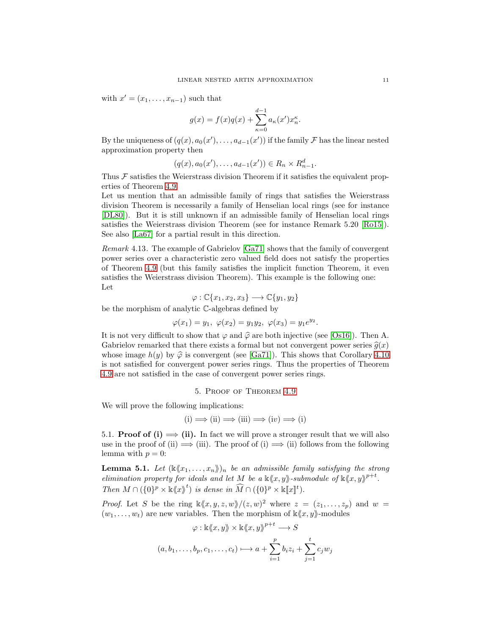with  $x' = (x_1, \ldots, x_{n-1})$  such that

$$
g(x) = f(x)q(x) + \sum_{\kappa=0}^{d-1} a_{\kappa}(x')x_{n}^{\kappa}.
$$

By the uniqueness of  $(q(x), a_0(x'), \ldots, a_{d-1}(x'))$  if the family  $\mathcal F$  has the linear nested approximation property then

$$
(q(x), a_0(x'), \ldots, a_{d-1}(x')) \in R_n \times R_{n-1}^d.
$$

Thus  $\mathcal F$  satisfies the Weierstrass division Theorem if it satisfies the equivalent properties of Theorem [4.9.](#page-8-0)

Let us mention that an admissible family of rings that satisfies the Weierstrass division Theorem is necessarily a family of Henselian local rings (see for instance [\[DL80\]](#page-15-24)). But it is still unknown if an admissible family of Henselian local rings satisfies the Weierstrass division Theorem (see for instance Remark 5.20 [\[Ro15\]](#page-15-25)). See also [\[La67\]](#page-15-26) for a partial result in this direction.

*Remark* 4.13*.* The example of Gabrielov [\[Ga71\]](#page-15-1) shows that the family of convergent power series over a characteristic zero valued field does not satisfy the properties of Theorem [4.9](#page-8-0) (but this family satisfies the implicit function Theorem, it even satisfies the Weierstrass division Theorem). This example is the following one: Let

$$
\varphi : \mathbb{C}\{x_1, x_2, x_3\} \longrightarrow \mathbb{C}\{y_1, y_2\}
$$

be the morphism of analytic C-algebras defined by

$$
\varphi(x_1) = y_1, \ \varphi(x_2) = y_1 y_2, \ \varphi(x_3) = y_1 e^{y_2}.
$$

It is not very difficult to show that  $\varphi$  and  $\widehat{\varphi}$  are both injective (see [\[Os16\]](#page-15-27)). Then A. Gabrielov remarked that there exists a formal but not convergent power series  $\hat{q}(x)$ whose image  $h(y)$  by  $\hat{\varphi}$  is convergent (see [\[Ga71\]](#page-15-1)). This shows that Corollary [4.10](#page-8-2) is not satisfied for convergent power series rings. Thus the properties of Theorem [4.9](#page-8-0) are not satisfied in the case of convergent power series rings.

5. Proof of Theorem [4.9](#page-8-0)

We will prove the following implications:

$$
(i) \implies (ii) \implies (iii) \implies (iv) \implies (i)
$$

5.1. **Proof of (i)**  $\implies$  (ii). In fact we will prove a stronger result that we will also use in the proof of (ii)  $\implies$  (iii). The proof of (i)  $\implies$  (ii) follows from the following lemma with  $p = 0$ :

<span id="page-10-0"></span>**Lemma 5.1.** Let  $(\&\langle x_1,\ldots,x_n\rangle\!\!\,)$  *be an admissible family satisfying the strong elimination property for ideals and let* M *be a*  $\mathbb{K}\langle x, y \rangle$ -submodule of  $\mathbb{K}\langle x, y \rangle$ <sup>p+t</sup>. *Then*  $M \cap (\{0\}^p \times \mathbb{k} \langle x \rangle^t)$  *is dense in*  $\widehat{M} \cap (\{0\}^p \times \mathbb{k} [x]^t)$ *.* 

*Proof.* Let S be the ring  $\kappa(x, y, z, w)/(z, w)^2$  where  $z = (z_1, \ldots, z_p)$  and  $w =$  $(w_1, \ldots, w_t)$  are new variables. Then the morphism of  $\kappa \langle x, y \rangle$ -modules

$$
\varphi : \mathbb{k}\langle x, y \rangle \times \mathbb{k}\langle x, y \rangle^{p+t} \longrightarrow S
$$

$$
(a, b_1, \dots, b_p, c_1, \dots, c_t) \longmapsto a + \sum_{i=1}^p b_i z_i + \sum_{j=1}^t c_j w_j
$$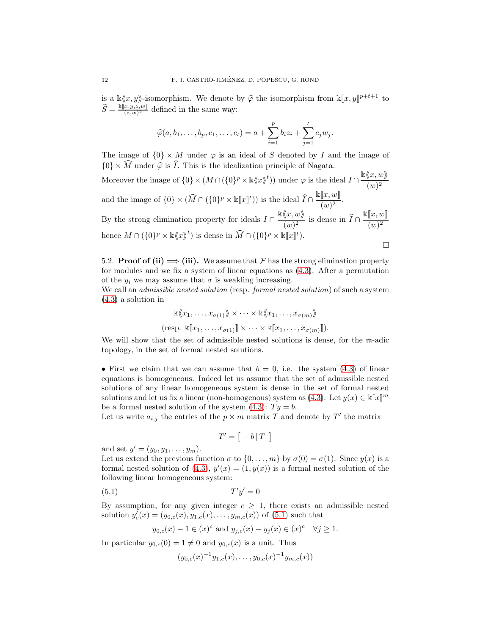is a  $\mathbb{k}\langle x, y \rangle$ -isomorphism. We denote by  $\hat{\varphi}$  the isomorphism from  $\mathbb{k}[x, y]^{p+t+1}$  to  $\widehat{S} = \frac{\Bbbk[\![x,y,z,w]\!]}{(z,w)^2}$  $\frac{(x,y,z,w)}{(z,w)^2}$  defined in the same way:

$$
\widehat{\varphi}(a, b_1, \ldots, b_p, c_1, \ldots, c_t) = a + \sum_{i=1}^p b_i z_i + \sum_{j=1}^t c_j w_j.
$$

The image of  $\{0\} \times M$  under  $\varphi$  is an ideal of S denoted by I and the image of  $\{0\} \times \widehat{M}$  under  $\widehat{\varphi}$  is  $\widehat{I}$ . This is the idealization principle of Nagata.

Moreover the image of  $\{0\} \times (M \cap (\{0\}^p \times \mathbb{K} \langle x \rangle)^t)$  under  $\varphi$  is the ideal  $I \cap \frac{\mathbb{K} \langle x, w \rangle}{\langle x, y \rangle}$  $(w)^2$ and the image of  $\{0\} \times (\widehat{M} \cap (\{0\}^p \times \mathbb{k}[\![x]\!]^t))$  is the ideal  $\widehat{I} \cap$  $\mathbb{k}[\![x,w]\!]$  $\frac{\mathbb{L}^{\infty},\infty_{\mathbb{J}}}{(w)^2}.$ By the strong elimination property for ideals  $I \cap \frac{\mathbb{K} \langle x, w \rangle}{\langle x, y \rangle}$  $\frac{\sqrt{w}}{(w)^2}$  is dense in  $I \cap$  $\mathbb{k}[\![x,w]\!]$  $(w)^2$ 

hence 
$$
M \cap (\{0\}^p \times \mathbb{k}\langle x \rangle^t)
$$
 is dense in  $\widehat{M} \cap (\{0\}^p \times \mathbb{k}[\![x]\!]^t)$ .

5.2. **Proof of (ii)**  $\implies$  (iii). We assume that F has the strong elimination property for modules and we fix a system of linear equations as [\(4.3\)](#page-8-3). After a permutation of the  $y_i$  we may assume that  $\sigma$  is weakling increasing.

We call an *admissible nested solution* (resp. *formal nested solution*) of such a system [\(4.3\)](#page-8-3) a solution in

> $\mathbb{k}\langle x_1, \ldots, x_{\sigma(1)}\rangle\!\!\rangle \times \cdots \times \mathbb{k}\langle x_1, \ldots, x_{\sigma(m)}\rangle\!\!\rangle$ (resp.  $\Bbbk[[x_1, \ldots, x_{\sigma(1)}]] \times \cdots \times \Bbbk[[x_1, \ldots, x_{\sigma(m)}]]$ ).

We will show that the set of admissible nested solutions is dense, for the m-adic topology, in the set of formal nested solutions.

• First we claim that we can assume that  $b = 0$ , i.e. the system [\(4.3\)](#page-8-3) of linear equations is homogeneous. Indeed let us assume that the set of admissible nested solutions of any linear homogeneous system is dense in the set of formal nested solutions and let us fix a linear (non-homogenous) system as [\(4.3\)](#page-8-3). Let  $y(x) \in \mathbb{K}[[x]]^m$ be a formal nested solution of the system  $(4.3)$ :  $Ty = b$ .

Let us write  $a_{i,j}$  the entries of the  $p \times m$  matrix T and denote by T' the matrix

<span id="page-11-0"></span>
$$
T' = \left[ \begin{array}{c} -b \, | \, T \end{array} \right]
$$

and set  $y' = (y_0, y_1, \ldots, y_m)$ .

Let us extend the previous function  $\sigma$  to  $\{0, \ldots, m\}$  by  $\sigma(0) = \sigma(1)$ . Since  $y(x)$  is a formal nested solution of [\(4.3\)](#page-8-3),  $y'(x) = (1, y(x))$  is a formal nested solution of the following linear homogeneous system:

$$
(5.1)\t\t T'y' = 0
$$

By assumption, for any given integer  $c \geq 1$ , there exists an admissible nested solution  $y'_{c}(x) = (y_{0,c}(x), y_{1,c}(x), \ldots, y_{m,c}(x))$  of  $(5.1)$  such that

$$
y_{0,c}(x) - 1 \in (x)^c
$$
 and  $y_{j,c}(x) - y_j(x) \in (x)^c \quad \forall j \ge 1.$ 

In particular  $y_{0,c}(0) = 1 \neq 0$  and  $y_{0,c}(x)$  is a unit. Thus

$$
(y_{0,c}(x)^{-1}y_{1,c}(x),\ldots,y_{0,c}(x)^{-1}y_{m,c}(x))
$$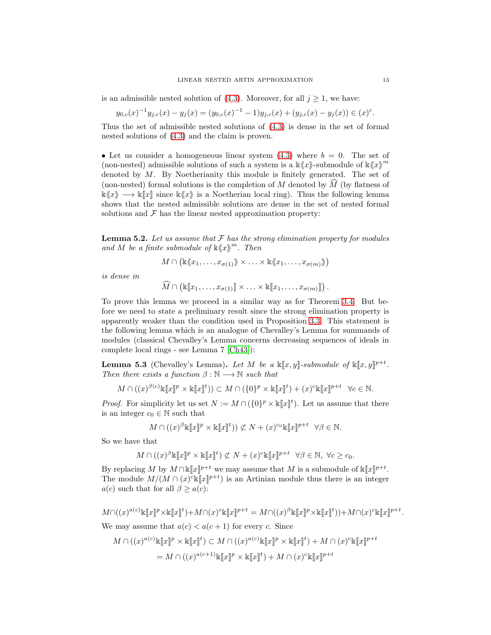is an admissible nested solution of  $(4.3)$ . Moreover, for all  $j \geq 1$ , we have:

$$
y_{0,c}(x)^{-1}y_{j,c}(x) - y_j(x) = (y_{0,c}(x)^{-1} - 1)y_{j,c}(x) + (y_{j,c}(x) - y_j(x)) \in (x)^c.
$$

Thus the set of admissible nested solutions of [\(4.3\)](#page-8-3) is dense in the set of formal nested solutions of [\(4.3\)](#page-8-3) and the claim is proven.

• Let us consider a homogeneous linear system  $(4.3)$  where  $b = 0$ . The set of (non-nested) admissible solutions of such a system is a  $\kappa \langle x \rangle$ -submodule of  $\kappa \langle x \rangle^m$ denoted by M. By Noetherianity this module is finitely generated. The set of (non-nested) formal solutions is the completion of M denoted by  $\widehat{M}$  (by flatness of  $\kappa\langle x\rangle \longrightarrow \kappa[x]$  since  $\kappa\langle x\rangle$  is a Noetherian local ring). Thus the following lemma shows that the nested admissible solutions are dense in the set of nested formal solutions and  $\mathcal F$  has the linear nested approximation property:

<span id="page-12-0"></span>Lemma 5.2. *Let us assume that* F *has the strong elimination property for modules and* M *be a finite submodule of*  $\mathbb{K}\langle x \rangle^m$ *. Then* 

$$
M \cap (\mathbb{K} \langle x_1, \ldots, x_{\sigma(1)} \rangle) \times \ldots \times \mathbb{K} \langle x_1, \ldots, x_{\sigma(m)} \rangle)
$$

*is dense in*

$$
\widehat{M} \cap (\mathbb{K}[\![x_1,\ldots,x_{\sigma(1)}]\!] \times \ldots \times \mathbb{K}[\![x_1,\ldots,x_{\sigma(m)}]\!] ).
$$

To prove this lemma we proceed in a similar way as for Theorem [3.4.](#page-5-1) But before we need to state a preliminary result since the strong elimination property is apparently weaker than the condition used in Proposition [3.3.](#page-4-0) This statement is the following lemma which is an analogue of Chevalley's Lemma for summands of modules (classical Chevalley's Lemma concerns decreasing sequences of ideals in complete local rings - see Lemma 7 [\[Ch43\]](#page-15-28)):

<span id="page-12-1"></span>**Lemma 5.3** (Chevalley's Lemma). Let M be a  $\mathbb{K}[x, y]$ -submodule of  $\mathbb{K}[x, y]$ <sup>p+t</sup>. *Then there exists a function*  $\beta : \mathbb{N} \longrightarrow \mathbb{N}$  *such that* 

$$
M \cap ((x)^{\beta(c)} \mathbb{k}[\![x]\!]^p \times \mathbb{k}[\![x]\!]^t)) \subset M \cap (\{0\}^p \times \mathbb{k}[\![x]\!]^t) + (x)^c \mathbb{k}[\![x]\!]^{p+t} \quad \forall c \in \mathbb{N}.
$$

*Proof.* For simplicity let us set  $N := M \cap (\{0\}^p \times \mathbb{k}[\![x]\!]^t)$ . Let us assume that there is an integer  $c_0 \in \mathbb{N}$  such that

$$
M \cap ((x)^{\beta} \mathbb{k}[\![x]\!]^p \times \mathbb{k}[\![x]\!]^t)) \not\subset N + (x)^{c_0} \mathbb{k}[\![x]\!]^{p+t} \quad \forall \beta \in \mathbb{N}.
$$

So we have that

$$
M \cap ((x)^{\beta} \mathbb{E}[x]^p \times \mathbb{E}[x]^t) \not\subset N + (x)^c \mathbb{E}[x]^{p+t} \quad \forall \beta \in \mathbb{N}, \ \forall c \ge c_0.
$$

By replacing M by  $M \cap \kappa[\![x]\!]^{p+t}$  we may assume that M is a submodule of  $\kappa[\![x]\!]^{p+t}$ . The module  $M/(M \cap (x)^c \mathbb{K}[\![x]\!]^{p+t}$  is an Artinian module thus there is an integer  $a(c)$  such that for all  $\beta \geq a(c)$ :

$$
M\cap((x)^{a(c)}\Bbbk[\![x]\!]^p\times\Bbbk[\![x]\!]^t)+M\cap(x)^{c}\Bbbk[\![x]\!]^{p+t}=M\cap((x)^{\beta}\Bbbk[\![x]\!]^p\times\Bbbk[\![x]\!]^t))+M\cap(x)^{c}\Bbbk[\![x]\!]^{p+t}.
$$

We may assume that  $a(c) < a(c+1)$  for every c. Since

$$
M \cap ((x)^{a(c)} \mathbb{K}[\![x]\!]^p \times \mathbb{K}[\![x]\!]^t) \subset M \cap ((x)^{a(c)} \mathbb{K}[\![x]\!]^p \times \mathbb{K}[\![x]\!]^t) + M \cap (x)^{c} \mathbb{K}[\![x]\!]^{p+t}
$$
  
= 
$$
M \cap ((x)^{a(c+1)} \mathbb{K}[\![x]\!]^p \times \mathbb{K}[\![x]\!]^t) + M \cap (x)^{c} \mathbb{K}[\![x]\!]^{p+t}
$$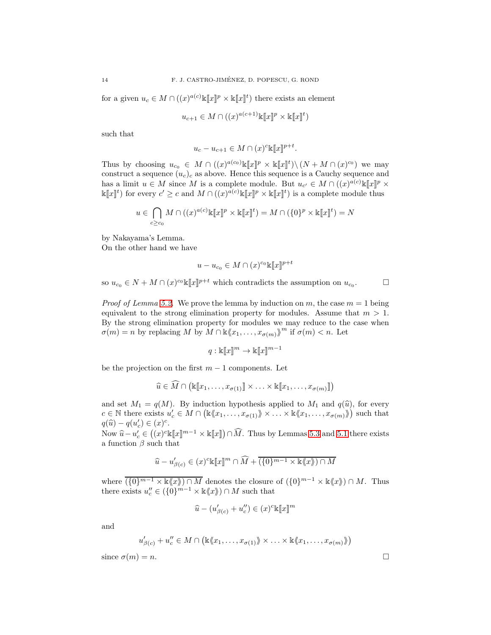for a given  $u_c \in M \cap ((x)^{a(c)} \mathbb{K}[\![x]\!]^p \times \mathbb{K}[\![x]\!]^t)$  there exists an element

$$
u_{c+1} \in M \cap ((x)^{a(c+1)} \mathbb{K}[\![x]\!]^p \times \mathbb{K}[\![x]\!]^t)
$$

such that

$$
u_c - u_{c+1} \in M \cap (x)^c \mathbb{k} [x]^{p+t}.
$$

Thus by choosing  $u_{c_0} \in M \cap ((x)^{a(c_0)} \mathbb{K}[\![x]\!]^p \times \mathbb{K}[\![x]\!]^t) \setminus (N + M \cap (x)^{c_0})$  we may construct a sequence  $(u_c)_c$  as above. Hence this sequence is a Cauchy sequence and has a limit  $u \in M$  since M is a complete module. But  $u_{c'} \in M \cap ((x)^{a(c)} \mathbb{K}[\![x]\!]^p \times$  $\Bbbk[[x]\]^t$  for every  $c' \geq c$  and  $M \cap ((x)^{a(c)} \Bbbk[[x]\]^p \times \Bbbk[[x]\]^t)$  is a complete module thus

$$
u\in \bigcap_{c\geq c_0}M\cap((x)^{a(c)}\Bbbk[\![x]\!]^p\times \Bbbk[\![x]\!]^t)=M\cap(\{0\}^p\times \Bbbk[\![x]\!]^t)=N
$$

by Nakayama's Lemma.

On the other hand we have

$$
u - u_{c_0} \in M \cap (x)^{c_0} \mathbb{k}[x]^{p+t}
$$

so  $u_{c_0} \in N + M \cap (x)^{c_0} \mathbb{K}[x]^{p+t}$  which contradicts the assumption on  $u_{c_0}$ 

 $\Box$ 

*Proof of Lemma* [5.2.](#page-12-0) We prove the lemma by induction on m, the case  $m = 1$  being equivalent to the strong elimination property for modules. Assume that  $m > 1$ . By the strong elimination property for modules we may reduce to the case when  $\sigma(m) = n$  by replacing M by  $M \cap \mathbb{k} \langle x_1, \ldots, x_{\sigma(m)} \rangle^m$  if  $\sigma(m) < n$ . Let

$$
q: \Bbbk[\![x]\!]^m \to \Bbbk[\![x]\!]^{m-1}
$$

be the projection on the first  $m-1$  components. Let

$$
\widehat{u} \in \widehat{M} \cap (\mathbb{K}[\![x_1,\ldots,x_{\sigma(1)}]\!]\times \ldots \times \mathbb{K}[\![x_1,\ldots,x_{\sigma(m)}]\!])
$$

and set  $M_1 = q(M)$ . By induction hypothesis applied to  $M_1$  and  $q(\hat{u})$ , for every  $c \in \mathbb{N}$  there exists  $u'_c \in M \cap (\mathbb{K} \langle x_1, \ldots, x_{\sigma(1)} \rangle \rangle \times \ldots \times \mathbb{K} \langle x_1, \ldots, x_{\sigma(m)} \rangle)$  such that  $q(\widehat{u}) - q(u'_{c}) \in (x)^{c}.$ 

Now  $\hat{u} - u'_c \in ((x)^c \& \llbracket x \rrbracket^{m-1} \times \& \llbracket x \rrbracket) \cap \widehat{M}$ . Thus by Lemmas [5.3](#page-12-1) and [5.1](#page-10-0) there exists a function  $\beta$  such that

$$
\widehat{u} - u'_{\beta(c)} \in (x)^c \mathbb{K}[\![x]\!]^m \cap \widehat{M} + \overline{(\{0\}^{m-1} \times \mathbb{K} \langle x \rangle) \cap M}
$$

where  $\overline{(\{0\}^{m-1} \times \mathbb{k}\langle x \rangle) \cap M}$  denotes the closure of  $(\{0\}^{m-1} \times \mathbb{k}\langle x \rangle) \cap M$ . Thus there exists  $u''_c \in (\{0\}^{m-1} \times \mathbb{k} \langle x \rangle) \cap M$  such that

$$
\widehat{u}-(u_{\beta(c)}'+u_c'')\in (x)^c\mathbb{K}[\![x]\!]^m
$$

and

$$
u'_{\beta(c)} + u''_c \in M \cap (\mathbb{K} \langle x_1, \ldots, x_{\sigma(1)} \rangle \times \ldots \times \mathbb{K} \langle x_1, \ldots, x_{\sigma(m)} \rangle)
$$

since  $\sigma(m) = n$ .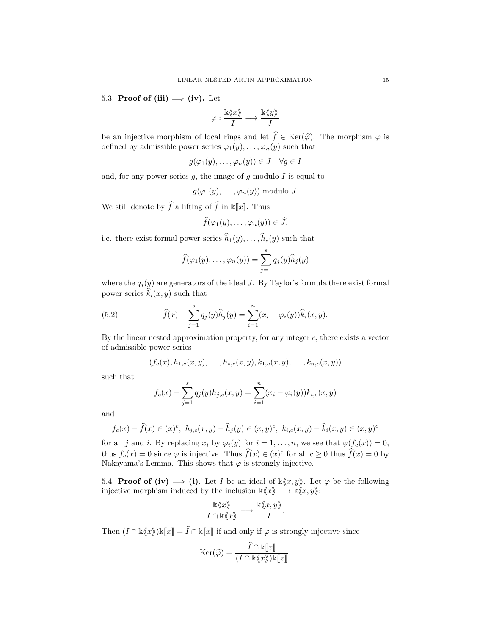5.3. Proof of (iii)  $\implies$  (iv). Let

$$
\varphi:\frac{\Bbbk\langle\!\langle x\rangle\!\rangle}{I}\longrightarrow \frac{\Bbbk\langle\!\langle y\rangle\!\rangle}{J}
$$

be an injective morphism of local rings and let  $f \in \text{Ker}(\hat{\varphi})$ . The morphism  $\varphi$  is defined by admissible power series  $\varphi_1(y), \ldots, \varphi_n(y)$  such that

$$
g(\varphi_1(y),\ldots,\varphi_n(y)) \in J \quad \forall g \in I
$$

and, for any power series  $g$ , the image of  $g$  modulo  $I$  is equal to

$$
g(\varphi_1(y),\ldots,\varphi_n(y))
$$
 modulo J.

We still denote by  $\widehat{f}$  a lifting of  $\widehat{f}$  in k[x]. Thus

$$
\widehat{f}(\varphi_1(y),\ldots,\varphi_n(y))\in\widehat{J},
$$

i.e. there exist formal power series  $\widehat{h}_1(y), \ldots, \widehat{h}_s(y)$  such that

$$
\widehat{f}(\varphi_1(y),\ldots,\varphi_n(y))=\sum_{j=1}^s q_j(y)\widehat{h}_j(y)
$$

where the  $q_j(y)$  are generators of the ideal J. By Taylor's formula there exist formal power series  $k_i(x, y)$  such that

(5.2) 
$$
\widehat{f}(x) - \sum_{j=1}^{s} q_j(y)\widehat{h}_j(y) = \sum_{i=1}^{n} (x_i - \varphi_i(y))\widehat{k}_i(x, y).
$$

By the linear nested approximation property, for any integer c, there exists a vector of admissible power series

$$
(f_c(x), h_{1,c}(x,y), \ldots, h_{s,c}(x,y), k_{1,c}(x,y), \ldots, k_{n,c}(x,y))
$$

such that

$$
f_c(x) - \sum_{j=1}^s q_j(y)h_{j,c}(x,y) = \sum_{i=1}^n (x_i - \varphi_i(y))k_{i,c}(x,y)
$$

and

$$
f_c(x) - \hat{f}(x) \in (x)^c, \ h_{j,c}(x,y) - \hat{h}_j(y) \in (x,y)^c, \ k_{i,c}(x,y) - \hat{k}_i(x,y) \in (x,y)^c
$$

for all j and i. By replacing  $x_i$  by  $\varphi_i(y)$  for  $i = 1, \ldots, n$ , we see that  $\varphi(f_c(x)) = 0$ , thus  $f_c(x) = 0$  since  $\varphi$  is injective. Thus  $\hat{f}(x) \in (x)^c$  for all  $c \ge 0$  thus  $\hat{f}(x) = 0$  by Nakayama's Lemma. This shows that  $\varphi$  is strongly injective.

5.4. **Proof of (iv)**  $\implies$  (i). Let I be an ideal of  $\kappa(x, y)$ . Let  $\varphi$  be the following injective morphism induced by the inclusion  $\mathbb{k}\langle x, y \rangle \longrightarrow \mathbb{k}\langle x, y \rangle$ :

$$
\frac{\Bbbk\langle\!\langle x\rangle\!\rangle}{I\cap \Bbbk\langle\!\langle x\rangle\!\rangle}\longrightarrow \frac{\Bbbk\langle\!\langle x,y\rangle\!\rangle}{I}.
$$

Then  $(I \cap \Bbbk\langle x \rangle)\Bbbk[\![x]\!] = \widehat{I} \cap \Bbbk[\![x]\!]$  if and only if  $\varphi$  is strongly injective since

$$
\mathrm{Ker}(\widehat{\varphi}) = \frac{\widehat{I} \cap \mathbb{k}[\![x]\!]}{(I \cap \mathbb{k}\langle\!\langle x \rangle\!\rangle) \mathbb{k}[\![x]\!]}.
$$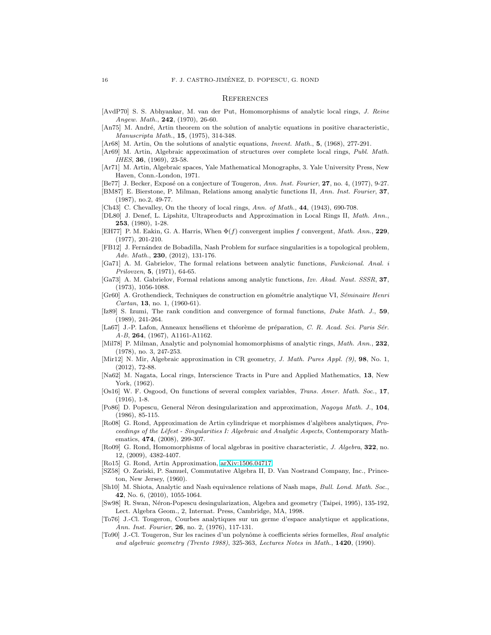#### **REFERENCES**

<span id="page-15-14"></span>[AvdP70] S. S. Abhyankar, M. van der Put, Homomorphisms of analytic local rings, *J. Reine Angew. Math.*, 242, (1970), 26-60.

<span id="page-15-3"></span>[An75] M. André, Artin theorem on the solution of analytic equations in positive characteristic, *Manuscripta Math.*, 15, (1975), 314-348.

<span id="page-15-2"></span>[Ar68] M. Artin, On the solutions of analytic equations, *Invent. Math.*, 5, (1968), 277-291.

<span id="page-15-5"></span>[Ar69] M. Artin, Algebraic approximation of structures over complete local rings, *Publ. Math. IHES*, 36, (1969), 23-58.

<span id="page-15-4"></span>[Ar71] M. Artin, Algebraic spaces, Yale Mathematical Monographs, 3. Yale University Press, New Haven, Conn.-London, 1971.

<span id="page-15-12"></span>[Be77] J. Becker, Exposé on a conjecture of Tougeron, *Ann. Inst. Fourier*, **27**, no. 4, (1977), 9-27.

<span id="page-15-10"></span>[BM87] E. Bierstone, P. Milman, Relations among analytic functions II, *Ann. Inst. Fourier*, 37, (1987), no.2, 49-77.

<span id="page-15-28"></span>[Ch43] C. Chevalley, On the theory of local rings, *Ann. of Math.*, 44, (1943), 690-708.

- <span id="page-15-24"></span>[DL80] J. Denef, L. Lipshitz, Ultraproducts and Approximation in Local Rings II, *Math. Ann.*, 253, (1980), 1-28.
- <span id="page-15-16"></span>[EH77] P. M. Eakin, G. A. Harris, When Φ(f) convergent implies f convergent, *Math. Ann.*, 229, (1977), 201-210.
- <span id="page-15-6"></span>[FB12] J. Fern´andez de Bobadilla, Nash Problem for surface singularities is a topological problem, *Adv. Math.*, 230, (2012), 131-176.
- <span id="page-15-1"></span>[Ga71] A. M. Gabrielov, The formal relations between analytic functions, *Funkcional. Anal. i Prilovzen*, 5, (1971), 64-65.
- <span id="page-15-15"></span>[Ga73] A. M. Gabrielov, Formal relations among analytic functions, *Izv. Akad. Naut. SSSR*, 37, (1973), 1056-1088.
- <span id="page-15-11"></span>[Gr60] A. Grothendieck, Techniques de construction en g´eom´etrie analytique VI, *S´eminaire Henri Cartan*, 13, no. 1, (1960-61).
- <span id="page-15-18"></span>[Iz89] S. Izumi, The rank condition and convergence of formal functions, *Duke Math. J.*, 59, (1989), 241-264.
- <span id="page-15-26"></span>[La67] J.-P. Lafon, Anneaux henséliens et théorème de préparation, *C. R. Acad. Sci. Paris Sér. A-B*, 264, (1967), A1161-A1162.
- <span id="page-15-17"></span>[Mil78] P. Milman, Analytic and polynomial homomorphisms of analytic rings, *Math. Ann.*, 232, (1978), no. 3, 247-253.
- <span id="page-15-7"></span>[Mir12] N. Mir, Algebraic approximation in CR geometry, *J. Math. Pures Appl. (9)*, 98, No. 1, (2012), 72-88.
- <span id="page-15-22"></span>[Na62] M. Nagata, Local rings, Interscience Tracts in Pure and Applied Mathematics, 13, New York, (1962).
- <span id="page-15-27"></span>[Os16] W. F. Osgood, On functions of several complex variables, *Trans. Amer. Math. Soc.*, 17,  $(1916), 1-8.$
- <span id="page-15-0"></span>[Po86] D. Popescu, General N´eron desingularization and approximation, *Nagoya Math. J.*, 104, (1986), 85-115.
- <span id="page-15-13"></span>[Ro08] G. Rond, Approximation de Artin cylindrique et morphismes d'algèbres analytiques, *Proceedings of the Lˆefest - Singularities I: Algebraic and Analytic Aspects*, Contemporary Mathematics, 474, (2008), 299-307.
- <span id="page-15-21"></span>[Ro09] G. Rond, Homomorphisms of local algebras in positive characteristic, *J. Algebra*, 322, no. 12, (2009), 4382-4407.
- <span id="page-15-25"></span>[Ro15] G. Rond, Artin Approximation, [arXiv:1506.04717.](http://arxiv.org/abs/1506.04717)
- <span id="page-15-23"></span>[SZ58] O. Zariski, P. Samuel, Commutative Algebra II, D. Van Nostrand Company, Inc., Princeton, New Jersey, (1960).
- <span id="page-15-8"></span>[Sh10] M. Shiota, Analytic and Nash equivalence relations of Nash maps, *Bull. Lond. Math. Soc.*, 42, No. 6, (2010), 1055-1064.
- <span id="page-15-9"></span>[Sw98] R. Swan, Néron-Popescu desingularization, Algebra and geometry (Taipei, 1995), 135-192, Lect. Algebra Geom., 2, Internat. Press, Cambridge, MA, 1998.
- <span id="page-15-20"></span>[To76] J.-Cl. Tougeron, Courbes analytiques sur un germe d'espace analytique et applications, *Ann. Inst. Fourier*, 26, no. 2, (1976), 117-131.
- <span id="page-15-19"></span>[To90] J.-Cl. Tougeron, Sur les racines d'un polynˆome `a coefficients s´eries formelles, *Real analytic and algebraic geometry (Trento 1988)*, 325-363, *Lectures Notes in Math.*, 1420, (1990).